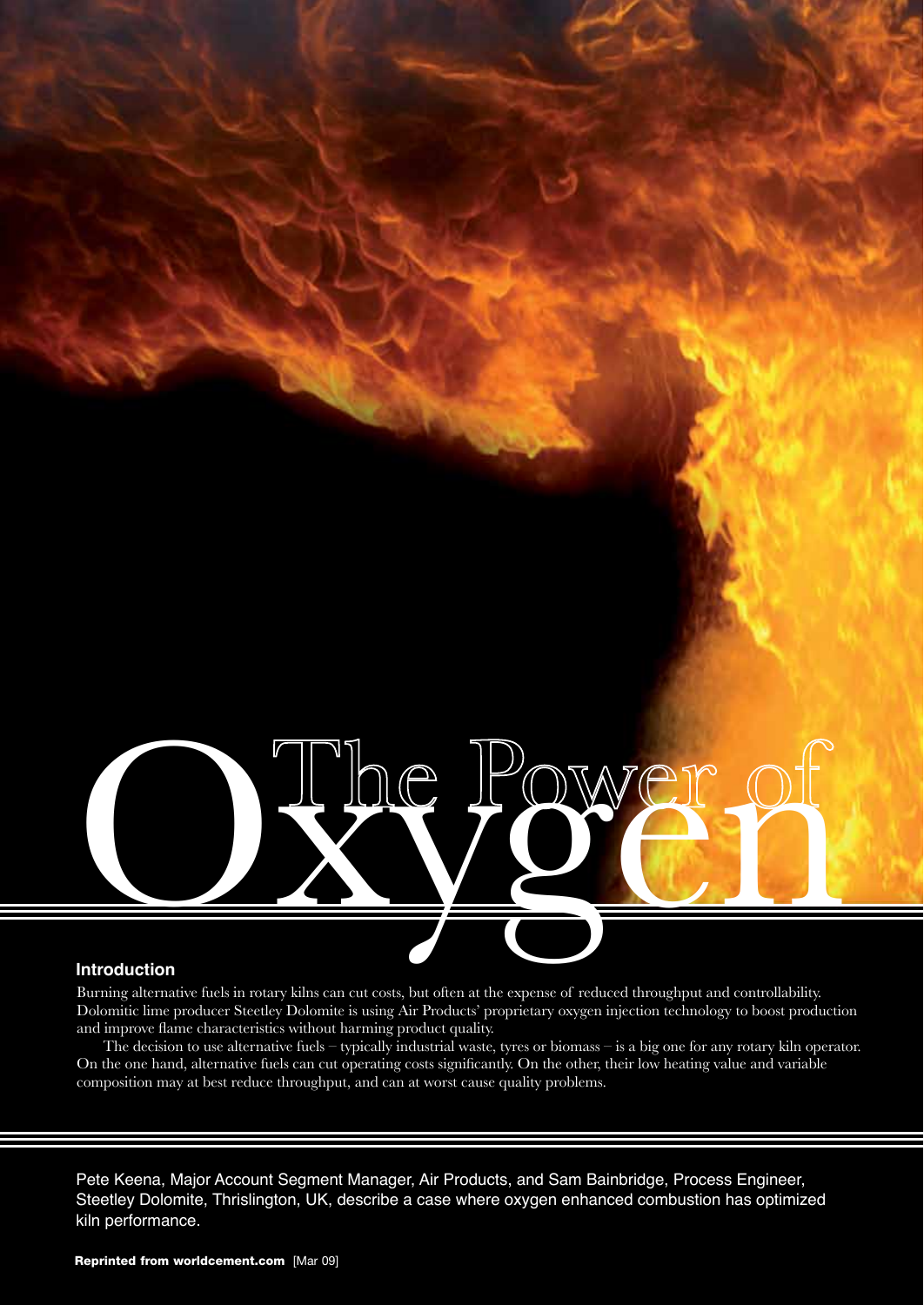Dy Power of

# **Introduction**

Burning alternative fuels in rotary kilns can cut costs, but often at the expense of reduced throughput and controllability. Dolomitic lime producer Steetley Dolomite is using Air Products' proprietary oxygen injection technology to boost production and improve flame characteristics without harming product quality.

The decision to use alternative fuels – typically industrial waste, tyres or biomass – is a big one for any rotary kiln operator. On the one hand, alternative fuels can cut operating costs significantly. On the other, their low heating value and variable composition may at best reduce throughput, and can at worst cause quality problems.

Pete Keena, Major Account Segment Manager, Air Products, and Sam Bainbridge, Process Engineer, Steetley Dolomite, Thrislington, UK, describe a case where oxygen enhanced combustion has optimized kiln performance.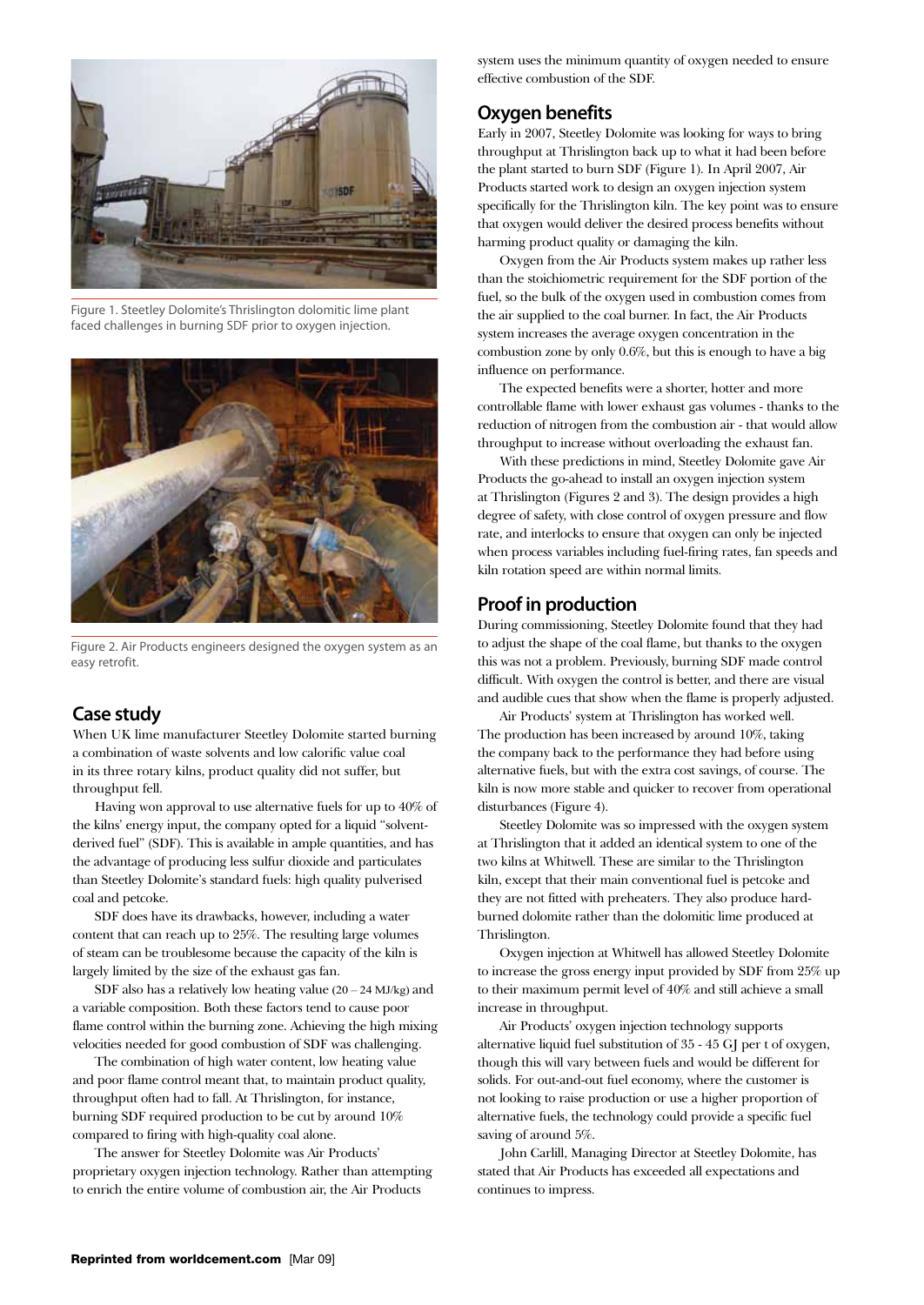

Figure 1. Steetley Dolomite's Thrislington dolomitic lime plant faced challenges in burning SDF prior to oxygen injection.



Figure 2. Air Products engineers designed the oxygen system as an easy retrofit.

# **Case study**

When UK lime manufacturer Steetley Dolomite started burning a combination of waste solvents and low calorific value coal in its three rotary kilns, product quality did not suffer, but throughput fell.

Having won approval to use alternative fuels for up to 40% of the kilns' energy input, the company opted for a liquid "solventderived fuel" (SDF). This is available in ample quantities, and has the advantage of producing less sulfur dioxide and particulates than Steetley Dolomite's standard fuels: high quality pulverised coal and petcoke.

SDF does have its drawbacks, however, including a water content that can reach up to 25%. The resulting large volumes of steam can be troublesome because the capacity of the kiln is largely limited by the size of the exhaust gas fan.

SDF also has a relatively low heating value  $(20 - 24$  MJ/kg) and a variable composition. Both these factors tend to cause poor flame control within the burning zone. Achieving the high mixing velocities needed for good combustion of SDF was challenging.

The combination of high water content, low heating value and poor flame control meant that, to maintain product quality, throughput often had to fall. At Thrislington, for instance, burning SDF required production to be cut by around 10% compared to firing with high-quality coal alone.

The answer for Steetley Dolomite was Air Products' proprietary oxygen injection technology. Rather than attempting to enrich the entire volume of combustion air, the Air Products

system uses the minimum quantity of oxygen needed to ensure effective combustion of the SDF.

# **Oxygen benefits**

Early in 2007, Steetley Dolomite was looking for ways to bring throughput at Thrislington back up to what it had been before the plant started to burn SDF (Figure 1). In April 2007, Air Products started work to design an oxygen injection system specifically for the Thrislington kiln. The key point was to ensure that oxygen would deliver the desired process benefits without harming product quality or damaging the kiln.

Oxygen from the Air Products system makes up rather less than the stoichiometric requirement for the SDF portion of the fuel, so the bulk of the oxygen used in combustion comes from the air supplied to the coal burner. In fact, the Air Products system increases the average oxygen concentration in the combustion zone by only 0.6%, but this is enough to have a big influence on performance.

The expected benefits were a shorter, hotter and more controllable flame with lower exhaust gas volumes - thanks to the reduction of nitrogen from the combustion air - that would allow throughput to increase without overloading the exhaust fan.

With these predictions in mind, Steetley Dolomite gave Air Products the go-ahead to install an oxygen injection system at Thrislington (Figures 2 and 3). The design provides a high degree of safety, with close control of oxygen pressure and flow rate, and interlocks to ensure that oxygen can only be injected when process variables including fuel-firing rates, fan speeds and kiln rotation speed are within normal limits.

# **Proof in production**

During commissioning, Steetley Dolomite found that they had to adjust the shape of the coal flame, but thanks to the oxygen this was not a problem. Previously, burning SDF made control difficult. With oxygen the control is better, and there are visual and audible cues that show when the flame is properly adjusted.

Air Products' system at Thrislington has worked well. The production has been increased by around 10%, taking the company back to the performance they had before using alternative fuels, but with the extra cost savings, of course. The kiln is now more stable and quicker to recover from operational disturbances (Figure 4).

Steetley Dolomite was so impressed with the oxygen system at Thrislington that it added an identical system to one of the two kilns at Whitwell. These are similar to the Thrislington kiln, except that their main conventional fuel is petcoke and they are not fitted with preheaters. They also produce hardburned dolomite rather than the dolomitic lime produced at Thrislington.

Oxygen injection at Whitwell has allowed Steetley Dolomite to increase the gross energy input provided by SDF from 25% up to their maximum permit level of 40% and still achieve a small increase in throughput.

Air Products' oxygen injection technology supports alternative liquid fuel substitution of 35 - 45 GJ per t of oxygen, though this will vary between fuels and would be different for solids. For out-and-out fuel economy, where the customer is not looking to raise production or use a higher proportion of alternative fuels, the technology could provide a specific fuel saving of around 5%.

John Carlill, Managing Director at Steetley Dolomite, has stated that Air Products has exceeded all expectations and continues to impress.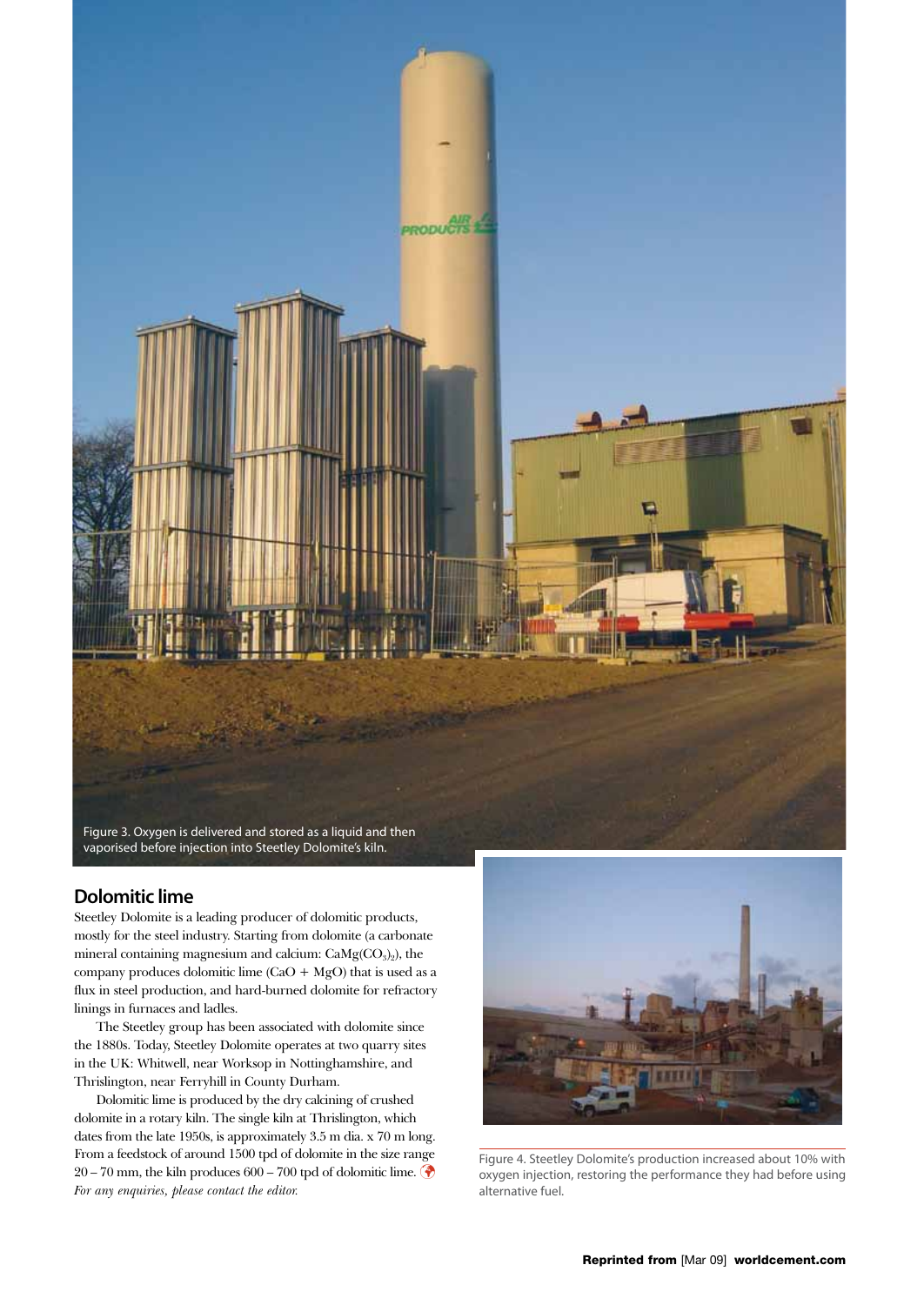

# **Dolomitic lime**

Steetley Dolomite is a leading producer of dolomitic products, mostly for the steel industry. Starting from dolomite (a carbonate mineral containing magnesium and calcium: CaMg(CO<sub>3</sub>)<sub>2</sub>), the company produces dolomitic lime  $(CaO + MgO)$  that is used as a flux in steel production, and hard-burned dolomite for refractory linings in furnaces and ladles.

The Steetley group has been associated with dolomite since the 1880s. Today, Steetley Dolomite operates at two quarry sites in the UK: Whitwell, near Worksop in Nottinghamshire, and Thrislington, near Ferryhill in County Durham.

Dolomitic lime is produced by the dry calcining of crushed dolomite in a rotary kiln. The single kiln at Thrislington, which dates from the late 1950s, is approximately 3.5 m dia. x 70 m long. From a feedstock of around 1500 tpd of dolomite in the size range 20 – 70 mm, the kiln produces 600 – 700 tpd of dolomitic lime. *For any enquiries, please contact the editor.*



Figure 4. Steetley Dolomite's production increased about 10% with oxygen injection, restoring the performance they had before using alternative fuel.